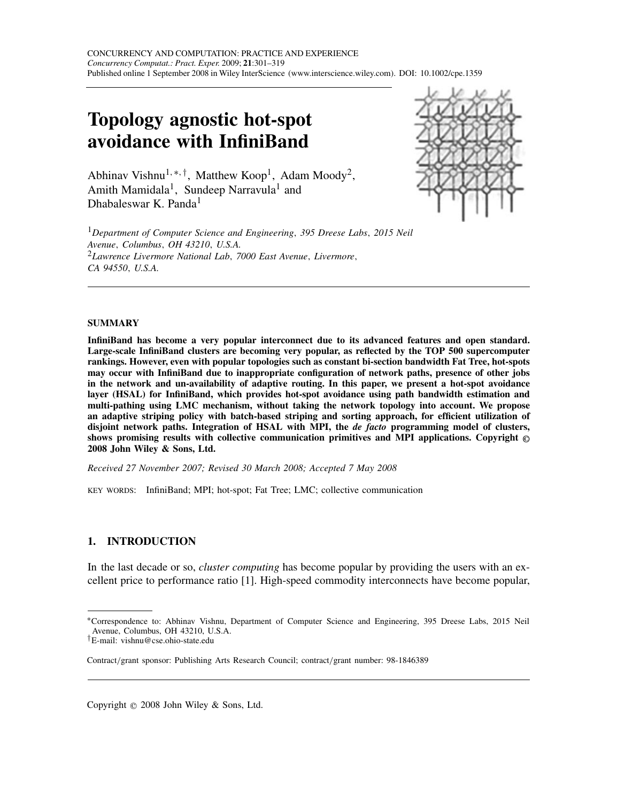CONCURRENCY AND COMPUTATION: PRACTICE AND EXPERIENCE *Concurrency Computat.: Pract. Exper.* 2009; **21**:301–319 Published online 1 September 2008 in Wiley InterScience (www.interscience.wiley.com). DOI: 10.1002/cpe.1359

# **Topology agnostic hot-spot avoidance with InfiniBand**

Abhinav Vishnu1*,*∗*, †*, Matthew Koop1, Adam Moody2, Amith Mamidala<sup>1</sup>, Sundeep Narravula<sup>1</sup> and Dhabaleswar K. Panda<sup>1</sup>



<sup>1</sup>*Department of Computer Science and Engineering, 395 Dreese Labs, 2015 Neil Avenue, Columbus, OH 43210, U.S.A.* <sup>2</sup>*Lawrence Livermore National Lab, 7000 East Avenue, Livermore, CA 94550, U.S.A.*

#### **SUMMARY**

**InfiniBand has become a very popular interconnect due to its advanced features and open standard. Large-scale InfiniBand clusters are becoming very popular, as reflected by the TOP 500 supercomputer rankings. However, even with popular topologies such as constant bi-section bandwidth Fat Tree, hot-spots may occur with InfiniBand due to inappropriate configuration of network paths, presence of other jobs in the network and un-availability of adaptive routing. In this paper, we present a hot-spot avoidance layer (HSAL) for InfiniBand, which provides hot-spot avoidance using path bandwidth estimation and multi-pathing using LMC mechanism, without taking the network topology into account. We propose an adaptive striping policy with batch-based striping and sorting approach, for efficient utilization of disjoint network paths. Integration of HSAL with MPI, the** *de facto* **programming model of clusters, shows promising results with collective communication primitives and MPI applications. Copyright © 2008 John Wiley & Sons, Ltd.**

*Received 27 November 2007; Revised 30 March 2008; Accepted 7 May 2008*

KEY WORDS: InfiniBand; MPI; hot-spot; Fat Tree; LMC; collective communication

## **1. INTRODUCTION**

In the last decade or so, *cluster computing* has become popular by providing the users with an excellent price to performance ratio [1]. High-speed commodity interconnects have become popular,

Copyright  $\odot$  2008 John Wiley & Sons, Ltd.

<sup>∗</sup>Correspondence to: Abhinav Vishnu, Department of Computer Science and Engineering, 395 Dreese Labs, 2015 Neil Avenue, Columbus, OH 43210, U.S.A.

*<sup>†</sup>*E-mail: vishnu@cse.ohio-state.edu

Contract*/*grant sponsor: Publishing Arts Research Council; contract*/*grant number: 98-1846389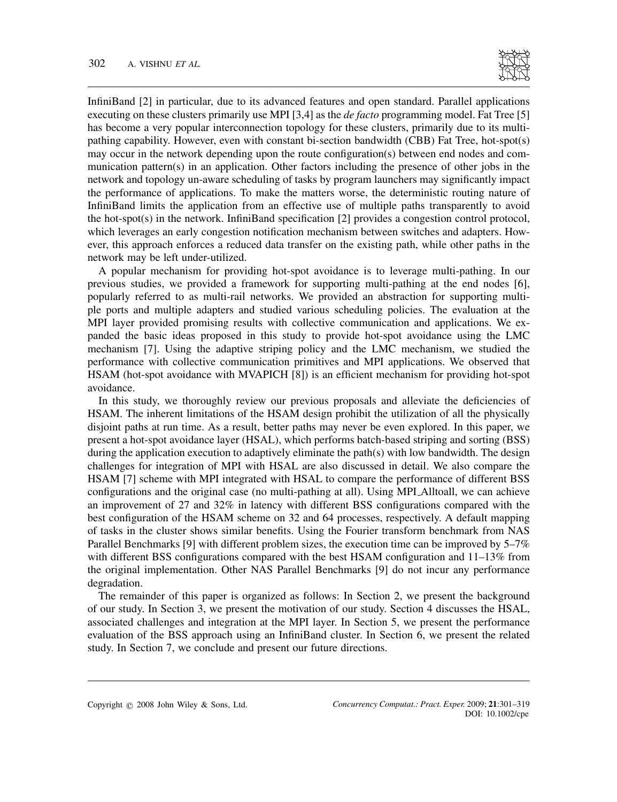

InfiniBand [2] in particular, due to its advanced features and open standard. Parallel applications executing on these clusters primarily use MPI [3,4] as the *de facto* programming model. Fat Tree [5] has become a very popular interconnection topology for these clusters, primarily due to its multipathing capability. However, even with constant bi-section bandwidth (CBB) Fat Tree, hot-spot(s) may occur in the network depending upon the route configuration(s) between end nodes and communication pattern(s) in an application. Other factors including the presence of other jobs in the network and topology un-aware scheduling of tasks by program launchers may significantly impact the performance of applications. To make the matters worse, the deterministic routing nature of InfiniBand limits the application from an effective use of multiple paths transparently to avoid the hot-spot(s) in the network. InfiniBand specification  $[2]$  provides a congestion control protocol, which leverages an early congestion notification mechanism between switches and adapters. However, this approach enforces a reduced data transfer on the existing path, while other paths in the network may be left under-utilized.

A popular mechanism for providing hot-spot avoidance is to leverage multi-pathing. In our previous studies, we provided a framework for supporting multi-pathing at the end nodes [6], popularly referred to as multi-rail networks. We provided an abstraction for supporting multiple ports and multiple adapters and studied various scheduling policies. The evaluation at the MPI layer provided promising results with collective communication and applications. We expanded the basic ideas proposed in this study to provide hot-spot avoidance using the LMC mechanism [7]. Using the adaptive striping policy and the LMC mechanism, we studied the performance with collective communication primitives and MPI applications. We observed that HSAM (hot-spot avoidance with MVAPICH [8]) is an efficient mechanism for providing hot-spot avoidance.

In this study, we thoroughly review our previous proposals and alleviate the deficiencies of HSAM. The inherent limitations of the HSAM design prohibit the utilization of all the physically disjoint paths at run time. As a result, better paths may never be even explored. In this paper, we present a hot-spot avoidance layer (HSAL), which performs batch-based striping and sorting (BSS) during the application execution to adaptively eliminate the path(s) with low bandwidth. The design challenges for integration of MPI with HSAL are also discussed in detail. We also compare the HSAM [7] scheme with MPI integrated with HSAL to compare the performance of different BSS configurations and the original case (no multi-pathing at all). Using MPI Alltoall, we can achieve an improvement of 27 and 32% in latency with different BSS configurations compared with the best configuration of the HSAM scheme on 32 and 64 processes, respectively. A default mapping of tasks in the cluster shows similar benefits. Using the Fourier transform benchmark from NAS Parallel Benchmarks [9] with different problem sizes, the execution time can be improved by 5–7% with different BSS configurations compared with the best HSAM configuration and 11–13% from the original implementation. Other NAS Parallel Benchmarks [9] do not incur any performance degradation.

The remainder of this paper is organized as follows: In Section 2, we present the background of our study. In Section 3, we present the motivation of our study. Section 4 discusses the HSAL, associated challenges and integration at the MPI layer. In Section 5, we present the performance evaluation of the BSS approach using an InfiniBand cluster. In Section 6, we present the related study. In Section 7, we conclude and present our future directions.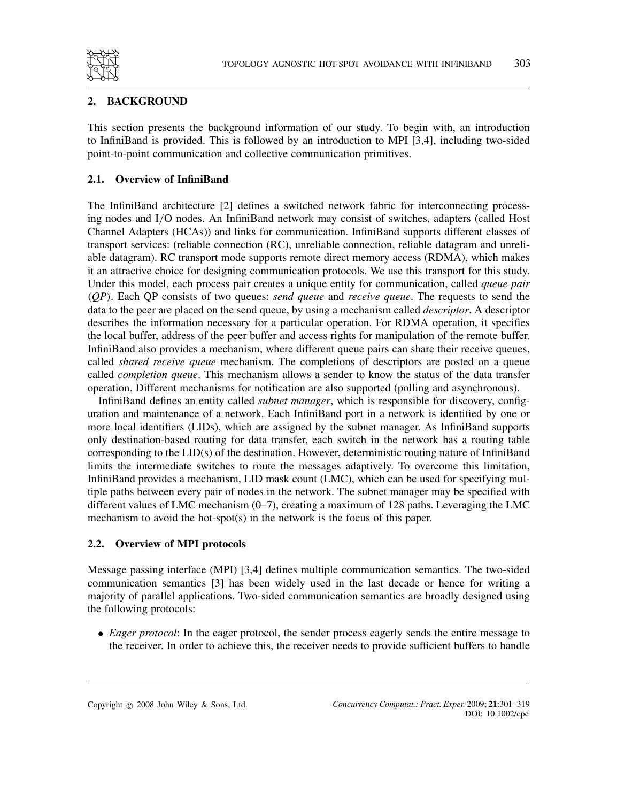

## **2. BACKGROUND**

This section presents the background information of our study. To begin with, an introduction to InfiniBand is provided. This is followed by an introduction to MPI [3,4], including two-sided point-to-point communication and collective communication primitives.

## **2.1. Overview of InfiniBand**

The InfiniBand architecture [2] defines a switched network fabric for interconnecting processing nodes and I*/*O nodes. An InfiniBand network may consist of switches, adapters (called Host Channel Adapters (HCAs)) and links for communication. InfiniBand supports different classes of transport services: (reliable connection (RC), unreliable connection, reliable datagram and unreliable datagram). RC transport mode supports remote direct memory access (RDMA), which makes it an attractive choice for designing communication protocols. We use this transport for this study. Under this model, each process pair creates a unique entity for communication, called *queue pair (QP)*. Each QP consists of two queues: *send queue* and *receive queue*. The requests to send the data to the peer are placed on the send queue, by using a mechanism called *descriptor*. A descriptor describes the information necessary for a particular operation. For RDMA operation, it specifies the local buffer, address of the peer buffer and access rights for manipulation of the remote buffer. InfiniBand also provides a mechanism, where different queue pairs can share their receive queues, called *shared receive queue* mechanism. The completions of descriptors are posted on a queue called *completion queue*. This mechanism allows a sender to know the status of the data transfer operation. Different mechanisms for notification are also supported (polling and asynchronous).

InfiniBand defines an entity called *subnet manager*, which is responsible for discovery, configuration and maintenance of a network. Each InfiniBand port in a network is identified by one or more local identifiers (LIDs), which are assigned by the subnet manager. As InfiniBand supports only destination-based routing for data transfer, each switch in the network has a routing table corresponding to the LID(s) of the destination. However, deterministic routing nature of InfiniBand limits the intermediate switches to route the messages adaptively. To overcome this limitation, InfiniBand provides a mechanism, LID mask count (LMC), which can be used for specifying multiple paths between every pair of nodes in the network. The subnet manager may be specified with different values of LMC mechanism (0–7), creating a maximum of 128 paths. Leveraging the LMC mechanism to avoid the hot-spot(s) in the network is the focus of this paper.

## **2.2. Overview of MPI protocols**

Message passing interface (MPI) [3,4] defines multiple communication semantics. The two-sided communication semantics [3] has been widely used in the last decade or hence for writing a majority of parallel applications. Two-sided communication semantics are broadly designed using the following protocols:

• *Eager protocol*: In the eager protocol, the sender process eagerly sends the entire message to the receiver. In order to achieve this, the receiver needs to provide sufficient buffers to handle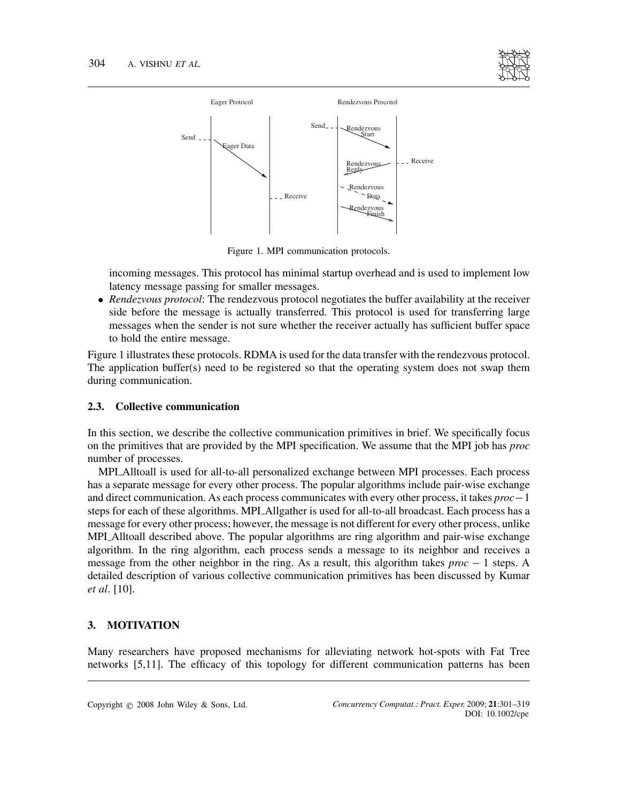



Figure 1. MPI communication protocols.

incoming messages. This protocol has minimal startup overhead and is used to implement low latency message passing for smaller messages.

• *Rendezvous protocol*: The rendezvous protocol negotiates the buffer availability at the receiver side before the message is actually transferred. This protocol is used for transferring large messages when the sender is not sure whether the receiver actually has sufficient buffer space to hold the entire message.

Figure 1 illustrates these protocols. RDMA is used for the data transfer with the rendezvous protocol. The application buffer(s) need to be registered so that the operating system does not swap them during communication.

## **2.3. Collective communication**

In this section, we describe the collective communication primitives in brief. We specifically focus on the primitives that are provided by the MPI specification. We assume that the MPI job has *proc* number of processes.

MPI Alltoall is used for all-to-all personalized exchange between MPI processes. Each process has a separate message for every other process. The popular algorithms include pair-wise exchange and direct communication. As each process communicates with every other process, it takes *proc*−1 steps for each of these algorithms. MPI Allgather is used for all-to-all broadcast. Each process has a message for every other process; however, the message is not different for every other process, unlike MPI Alltoall described above. The popular algorithms are ring algorithm and pair-wise exchange algorithm. In the ring algorithm, each process sends a message to its neighbor and receives a message from the other neighbor in the ring. As a result, this algorithm takes *proc* − 1 steps. A detailed description of various collective communication primitives has been discussed by Kumar *et al*. [10].

## **3. MOTIVATION**

Many researchers have proposed mechanisms for alleviating network hot-spots with Fat Tree networks [5,11]. The efficacy of this topology for different communication patterns has been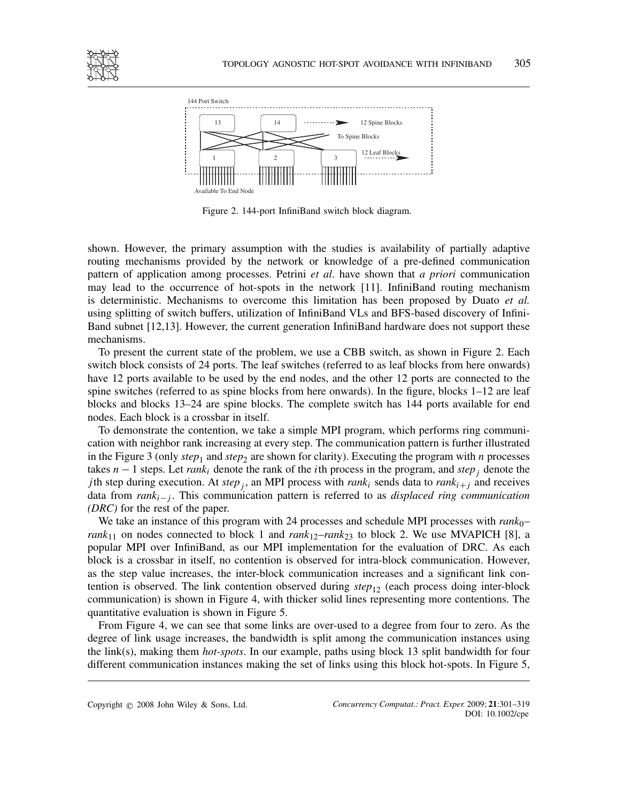



Figure 2. 144-port InfiniBand switch block diagram.

shown. However, the primary assumption with the studies is availability of partially adaptive routing mechanisms provided by the network or knowledge of a pre-defined communication pattern of application among processes. Petrini *et al*. have shown that *a priori* communication may lead to the occurrence of hot-spots in the network [11]. InfiniBand routing mechanism is deterministic. Mechanisms to overcome this limitation has been proposed by Duato *et al.* using splitting of switch buffers, utilization of InfiniBand VLs and BFS-based discovery of Infini-Band subnet [12,13]. However, the current generation InfiniBand hardware does not support these mechanisms.

To present the current state of the problem, we use a CBB switch, as shown in Figure 2. Each switch block consists of 24 ports. The leaf switches (referred to as leaf blocks from here onwards) have 12 ports available to be used by the end nodes, and the other 12 ports are connected to the spine switches (referred to as spine blocks from here onwards). In the figure, blocks 1–12 are leaf blocks and blocks 13–24 are spine blocks. The complete switch has 144 ports available for end nodes. Each block is a crossbar in itself.

To demonstrate the contention, we take a simple MPI program, which performs ring communication with neighbor rank increasing at every step. The communication pattern is further illustrated in the Figure 3 (only  $step_1$  and  $step_2$  are shown for clarity). Executing the program with *n* processes takes  $n - 1$  steps. Let *rank<sub>i</sub>* denote the rank of the *i*th process in the program, and *step j* denote the *j*th step during execution. At *step j*, an MPI process with *rank<sub>i</sub>* sends data to *rank*<sub>*i*+ *j*</sub> and receives data from *ranki*<sup>−</sup> *<sup>j</sup>* . This communication pattern is referred to as *displaced ring communication (DRC)* for the rest of the paper.

We take an instance of this program with 24 processes and schedule MPI processes with  $rank_0$ –  $rank_{11}$  on nodes connected to block 1 and  $rank_{12}$ – $rank_{23}$  to block 2. We use MVAPICH [8], a popular MPI over InfiniBand, as our MPI implementation for the evaluation of DRC. As each block is a crossbar in itself, no contention is observed for intra-block communication. However, as the step value increases, the inter-block communication increases and a significant link contention is observed. The link contention observed during *step*<sub>12</sub> (each process doing inter-block communication) is shown in Figure 4, with thicker solid lines representing more contentions. The quantitative evaluation is shown in Figure 5.

From Figure 4, we can see that some links are over-used to a degree from four to zero. As the degree of link usage increases, the bandwidth is split among the communication instances using the link(s), making them *hot-spots*. In our example, paths using block 13 split bandwidth for four different communication instances making the set of links using this block hot-spots. In Figure 5,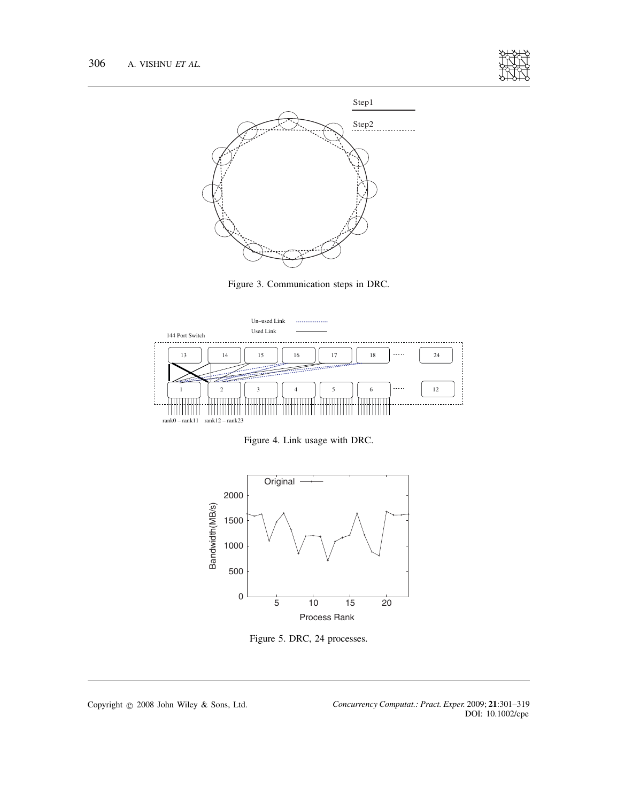



Figure 3. Communication steps in DRC.



Figure 4. Link usage with DRC.



Figure 5. DRC, 24 processes.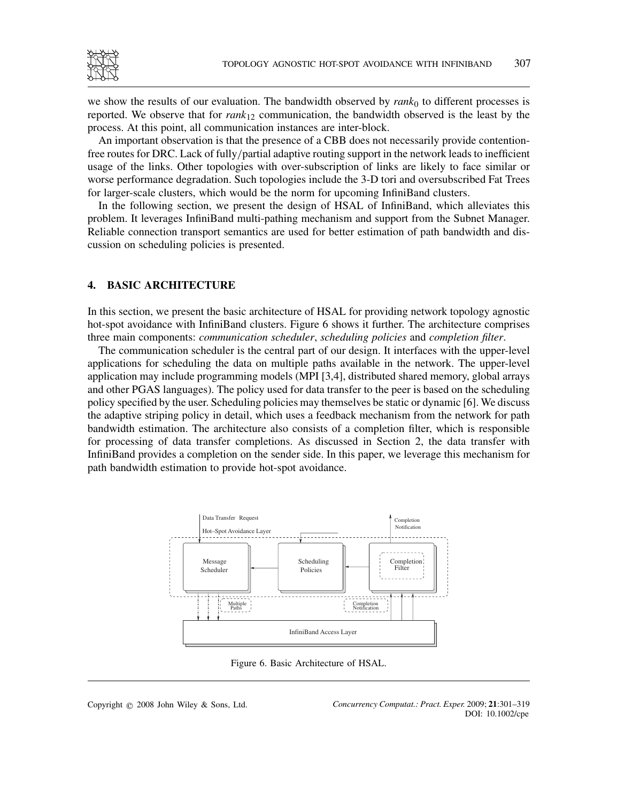

we show the results of our evaluation. The bandwidth observed by  $rank_0$  to different processes is reported. We observe that for *rank*<sup>12</sup> communication, the bandwidth observed is the least by the process. At this point, all communication instances are inter-block.

An important observation is that the presence of a CBB does not necessarily provide contentionfree routes for DRC. Lack of fully*/*partial adaptive routing support in the network leads to inefficient usage of the links. Other topologies with over-subscription of links are likely to face similar or worse performance degradation. Such topologies include the 3-D tori and oversubscribed Fat Trees for larger-scale clusters, which would be the norm for upcoming InfiniBand clusters.

In the following section, we present the design of HSAL of InfiniBand, which alleviates this problem. It leverages InfiniBand multi-pathing mechanism and support from the Subnet Manager. Reliable connection transport semantics are used for better estimation of path bandwidth and discussion on scheduling policies is presented.

#### **4. BASIC ARCHITECTURE**

In this section, we present the basic architecture of HSAL for providing network topology agnostic hot-spot avoidance with InfiniBand clusters. Figure 6 shows it further. The architecture comprises three main components: *communication scheduler*, *scheduling policies* and *completion filter*.

The communication scheduler is the central part of our design. It interfaces with the upper-level applications for scheduling the data on multiple paths available in the network. The upper-level application may include programming models (MPI [3,4], distributed shared memory, global arrays and other PGAS languages). The policy used for data transfer to the peer is based on the scheduling policy specified by the user. Scheduling policies may themselves be static or dynamic [6]. We discuss the adaptive striping policy in detail, which uses a feedback mechanism from the network for path bandwidth estimation. The architecture also consists of a completion filter, which is responsible for processing of data transfer completions. As discussed in Section 2, the data transfer with InfiniBand provides a completion on the sender side. In this paper, we leverage this mechanism for path bandwidth estimation to provide hot-spot avoidance.



Figure 6. Basic Architecture of HSAL.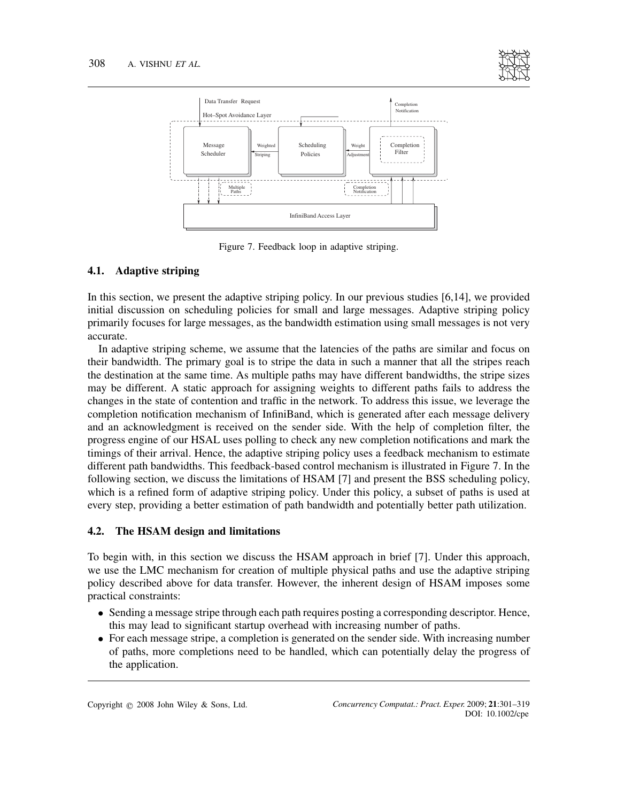



Figure 7. Feedback loop in adaptive striping.

## **4.1. Adaptive striping**

In this section, we present the adaptive striping policy. In our previous studies [6,14], we provided initial discussion on scheduling policies for small and large messages. Adaptive striping policy primarily focuses for large messages, as the bandwidth estimation using small messages is not very accurate.

In adaptive striping scheme, we assume that the latencies of the paths are similar and focus on their bandwidth. The primary goal is to stripe the data in such a manner that all the stripes reach the destination at the same time. As multiple paths may have different bandwidths, the stripe sizes may be different. A static approach for assigning weights to different paths fails to address the changes in the state of contention and traffic in the network. To address this issue, we leverage the completion notification mechanism of InfiniBand, which is generated after each message delivery and an acknowledgment is received on the sender side. With the help of completion filter, the progress engine of our HSAL uses polling to check any new completion notifications and mark the timings of their arrival. Hence, the adaptive striping policy uses a feedback mechanism to estimate different path bandwidths. This feedback-based control mechanism is illustrated in Figure 7. In the following section, we discuss the limitations of HSAM [7] and present the BSS scheduling policy, which is a refined form of adaptive striping policy. Under this policy, a subset of paths is used at every step, providing a better estimation of path bandwidth and potentially better path utilization.

## **4.2. The HSAM design and limitations**

To begin with, in this section we discuss the HSAM approach in brief [7]. Under this approach, we use the LMC mechanism for creation of multiple physical paths and use the adaptive striping policy described above for data transfer. However, the inherent design of HSAM imposes some practical constraints:

- Sending a message stripe through each path requires posting a corresponding descriptor. Hence, this may lead to significant startup overhead with increasing number of paths.
- For each message stripe, a completion is generated on the sender side. With increasing number of paths, more completions need to be handled, which can potentially delay the progress of the application.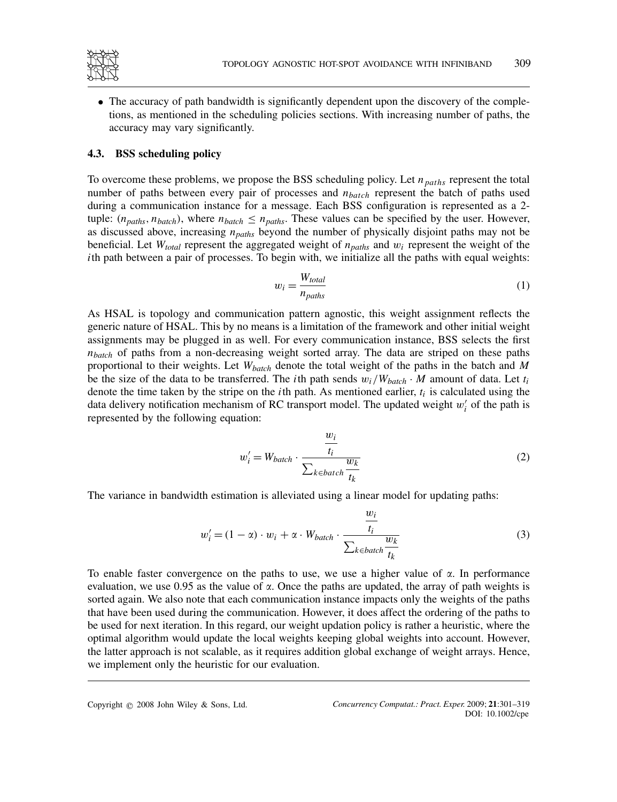

• The accuracy of path bandwidth is significantly dependent upon the discovery of the completions, as mentioned in the scheduling policies sections. With increasing number of paths, the accuracy may vary significantly.

#### **4.3. BSS scheduling policy**

To overcome these problems, we propose the BSS scheduling policy. Let *n paths* represent the total number of paths between every pair of processes and *nbatch* represent the batch of paths used during a communication instance for a message. Each BSS configuration is represented as a 2 tuple:  $(n_{paths}, n_{batch})$ , where  $n_{batch} \le n_{paths}$ . These values can be specified by the user. However, as discussed above, increasing *npaths* beyond the number of physically disjoint paths may not be beneficial. Let  $W_{total}$  represent the aggregated weight of  $n_{paths}$  and  $w_i$  represent the weight of the *i*th path between a pair of processes. To begin with, we initialize all the paths with equal weights:

$$
w_i = \frac{W_{total}}{n_{paths}}\tag{1}
$$

As HSAL is topology and communication pattern agnostic, this weight assignment reflects the generic nature of HSAL. This by no means is a limitation of the framework and other initial weight assignments may be plugged in as well. For every communication instance, BSS selects the first *nbatch* of paths from a non-decreasing weight sorted array. The data are striped on these paths proportional to their weights. Let *Wbatch* denote the total weight of the paths in the batch and *M* be the size of the data to be transferred. The *i*th path sends  $w_i / W_{batch} \cdot M$  amount of data. Let  $t_i$ denote the time taken by the stripe on the *i*th path. As mentioned earlier, *ti* is calculated using the data delivery notification mechanism of RC transport model. The updated weight  $w_i'$  of the path is represented by the following equation:

$$
w'_{i} = W_{batch} \cdot \frac{\frac{w_{i}}{t_{i}}}{\sum_{k \in batch} \frac{w_{k}}{t_{k}}}
$$
 (2)

The variance in bandwidth estimation is alleviated using a linear model for updating paths:

$$
w'_{i} = (1 - \alpha) \cdot w_{i} + \alpha \cdot W_{batch} \cdot \frac{\frac{w_{i}}{t_{i}}}{\sum_{k \in batch} \frac{w_{k}}{t_{k}}}
$$
(3)

To enable faster convergence on the paths to use, we use a higher value of  $\alpha$ . In performance evaluation, we use 0.95 as the value of  $\alpha$ . Once the paths are updated, the array of path weights is sorted again. We also note that each communication instance impacts only the weights of the paths that have been used during the communication. However, it does affect the ordering of the paths to be used for next iteration. In this regard, our weight updation policy is rather a heuristic, where the optimal algorithm would update the local weights keeping global weights into account. However, the latter approach is not scalable, as it requires addition global exchange of weight arrays. Hence, we implement only the heuristic for our evaluation.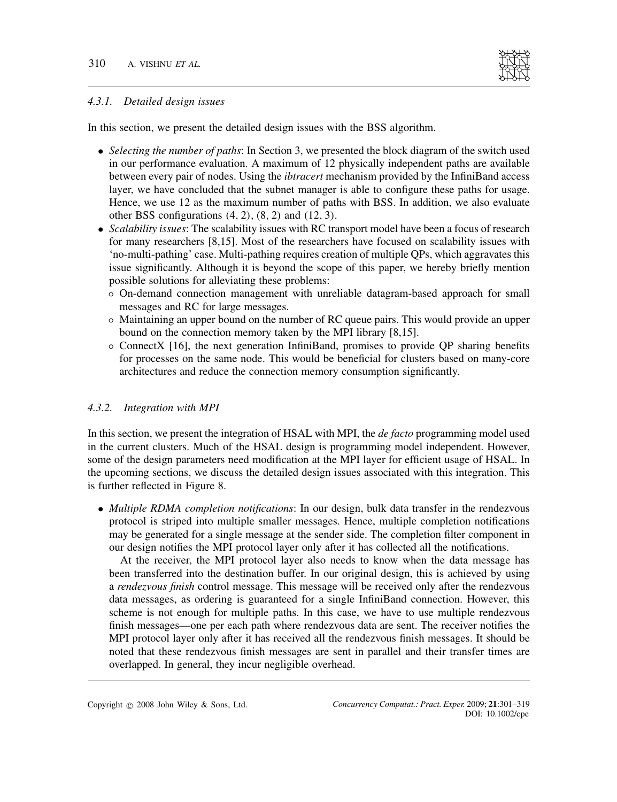

#### *4.3.1. Detailed design issues*

In this section, we present the detailed design issues with the BSS algorithm.

- *Selecting the number of paths*: In Section 3, we presented the block diagram of the switch used in our performance evaluation. A maximum of 12 physically independent paths are available between every pair of nodes. Using the *ibtracert* mechanism provided by the InfiniBand access layer, we have concluded that the subnet manager is able to configure these paths for usage. Hence, we use 12 as the maximum number of paths with BSS. In addition, we also evaluate other BSS configurations *(*4*,* 2*), (*8*,* 2*)* and *(*12*,* 3*)*.
- *Scalability issues*: The scalability issues with RC transport model have been a focus of research for many researchers [8,15]. Most of the researchers have focused on scalability issues with 'no-multi-pathing' case. Multi-pathing requires creation of multiple QPs, which aggravates this issue significantly. Although it is beyond the scope of this paper, we hereby briefly mention possible solutions for alleviating these problems:
	- On-demand connection management with unreliable datagram-based approach for small messages and RC for large messages.
	- Maintaining an upper bound on the number of RC queue pairs. This would provide an upper bound on the connection memory taken by the MPI library [8,15].
	- ConnectX [16], the next generation InfiniBand, promises to provide QP sharing benefits for processes on the same node. This would be beneficial for clusters based on many-core architectures and reduce the connection memory consumption significantly.

#### *4.3.2. Integration with MPI*

In this section, we present the integration of HSAL with MPI, the *de facto* programming model used in the current clusters. Much of the HSAL design is programming model independent. However, some of the design parameters need modification at the MPI layer for efficient usage of HSAL. In the upcoming sections, we discuss the detailed design issues associated with this integration. This is further reflected in Figure 8.

• *Multiple RDMA completion notifications*: In our design, bulk data transfer in the rendezvous protocol is striped into multiple smaller messages. Hence, multiple completion notifications may be generated for a single message at the sender side. The completion filter component in our design notifies the MPI protocol layer only after it has collected all the notifications.

At the receiver, the MPI protocol layer also needs to know when the data message has been transferred into the destination buffer. In our original design, this is achieved by using a *rendezvous finish* control message. This message will be received only after the rendezvous data messages, as ordering is guaranteed for a single InfiniBand connection. However, this scheme is not enough for multiple paths. In this case, we have to use multiple rendezvous finish messages—one per each path where rendezvous data are sent. The receiver notifies the MPI protocol layer only after it has received all the rendezvous finish messages. It should be noted that these rendezvous finish messages are sent in parallel and their transfer times are overlapped. In general, they incur negligible overhead.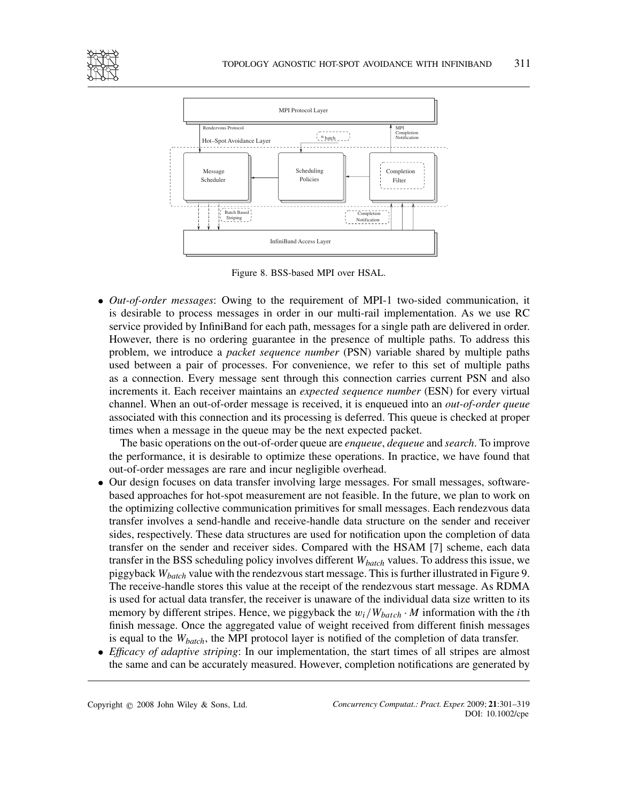



Figure 8. BSS-based MPI over HSAL.

• *Out-of-order messages*: Owing to the requirement of MPI-1 two-sided communication, it is desirable to process messages in order in our multi-rail implementation. As we use RC service provided by InfiniBand for each path, messages for a single path are delivered in order. However, there is no ordering guarantee in the presence of multiple paths. To address this problem, we introduce a *packet sequence number* (PSN) variable shared by multiple paths used between a pair of processes. For convenience, we refer to this set of multiple paths as a connection. Every message sent through this connection carries current PSN and also increments it. Each receiver maintains an *expected sequence number* (ESN) for every virtual channel. When an out-of-order message is received, it is enqueued into an *out-of-order queue* associated with this connection and its processing is deferred. This queue is checked at proper times when a message in the queue may be the next expected packet.

The basic operations on the out-of-order queue are *enqueue*, *dequeue* and *search*. To improve the performance, it is desirable to optimize these operations. In practice, we have found that out-of-order messages are rare and incur negligible overhead.

- Our design focuses on data transfer involving large messages. For small messages, softwarebased approaches for hot-spot measurement are not feasible. In the future, we plan to work on the optimizing collective communication primitives for small messages. Each rendezvous data transfer involves a send-handle and receive-handle data structure on the sender and receiver sides, respectively. These data structures are used for notification upon the completion of data transfer on the sender and receiver sides. Compared with the HSAM [7] scheme, each data transfer in the BSS scheduling policy involves different *Wbatch* values. To address this issue, we piggyback *Wbatch* value with the rendezvous start message. This is further illustrated in Figure 9. The receive-handle stores this value at the receipt of the rendezvous start message. As RDMA is used for actual data transfer, the receiver is unaware of the individual data size written to its memory by different stripes. Hence, we piggyback the  $w_i / W_{batch} \cdot M$  information with the *i*th finish message. Once the aggregated value of weight received from different finish messages is equal to the *Wbatch*, the MPI protocol layer is notified of the completion of data transfer.
- *Efficacy of adaptive striping*: In our implementation, the start times of all stripes are almost the same and can be accurately measured. However, completion notifications are generated by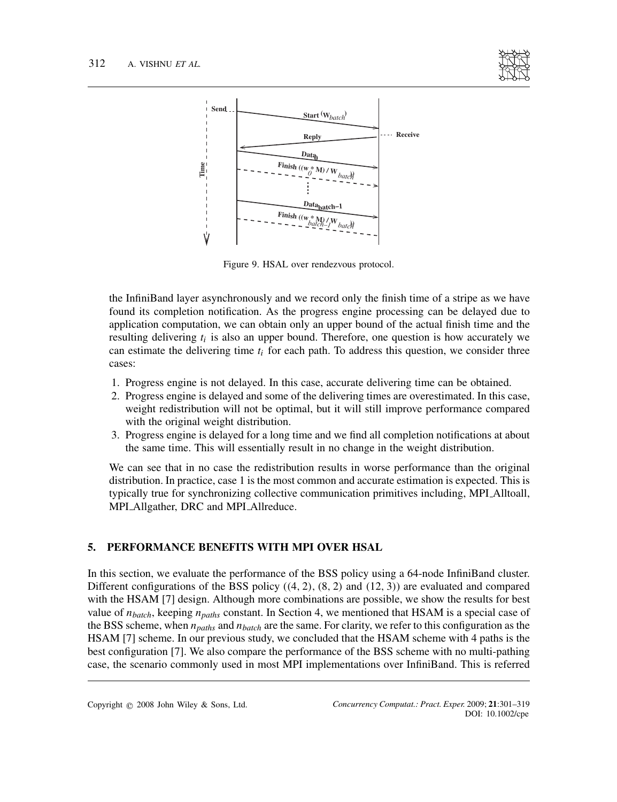



Figure 9. HSAL over rendezvous protocol.

the InfiniBand layer asynchronously and we record only the finish time of a stripe as we have found its completion notification. As the progress engine processing can be delayed due to application computation, we can obtain only an upper bound of the actual finish time and the resulting delivering  $t_i$  is also an upper bound. Therefore, one question is how accurately we can estimate the delivering time *ti* for each path. To address this question, we consider three cases:

- 1. Progress engine is not delayed. In this case, accurate delivering time can be obtained.
- 2. Progress engine is delayed and some of the delivering times are overestimated. In this case, weight redistribution will not be optimal, but it will still improve performance compared with the original weight distribution.
- 3. Progress engine is delayed for a long time and we find all completion notifications at about the same time. This will essentially result in no change in the weight distribution.

We can see that in no case the redistribution results in worse performance than the original distribution. In practice, case 1 is the most common and accurate estimation is expected. This is typically true for synchronizing collective communication primitives including, MPI Alltoall, MPI Allgather, DRC and MPI Allreduce.

## **5. PERFORMANCE BENEFITS WITH MPI OVER HSAL**

In this section, we evaluate the performance of the BSS policy using a 64-node InfiniBand cluster. Different configurations of the BSS policy (*(*4*,* 2*), (*8*,* 2*)* and *(*12*,* 3*)*) are evaluated and compared with the HSAM [7] design. Although more combinations are possible, we show the results for best value of *nbatch*, keeping *npaths* constant. In Section 4, we mentioned that HSAM is a special case of the BSS scheme, when *npaths* and *nbatch* are the same. For clarity, we refer to this configuration as the HSAM [7] scheme. In our previous study, we concluded that the HSAM scheme with 4 paths is the best configuration [7]. We also compare the performance of the BSS scheme with no multi-pathing case, the scenario commonly used in most MPI implementations over InfiniBand. This is referred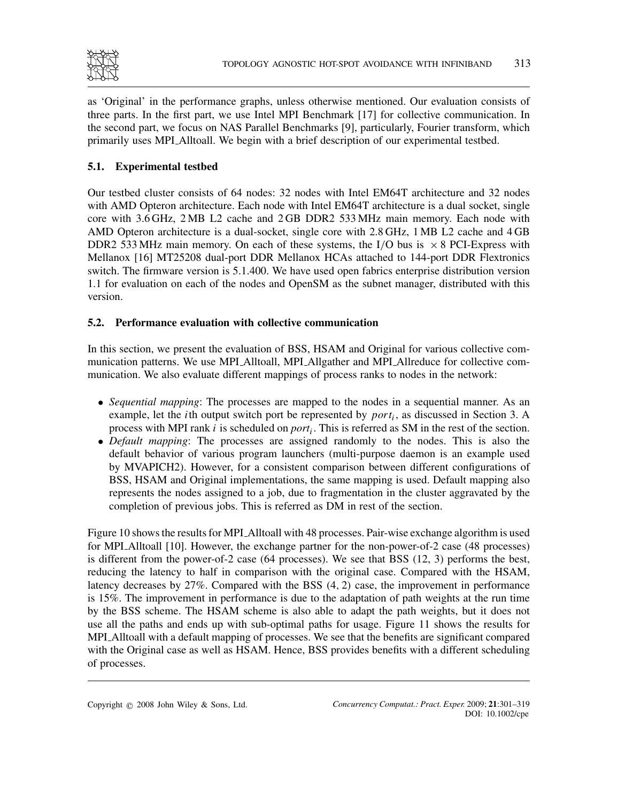

as 'Original' in the performance graphs, unless otherwise mentioned. Our evaluation consists of three parts. In the first part, we use Intel MPI Benchmark [17] for collective communication. In the second part, we focus on NAS Parallel Benchmarks [9], particularly, Fourier transform, which primarily uses MPI Alltoall. We begin with a brief description of our experimental testbed.

# **5.1. Experimental testbed**

Our testbed cluster consists of 64 nodes: 32 nodes with Intel EM64T architecture and 32 nodes with AMD Opteron architecture. Each node with Intel EM64T architecture is a dual socket, single core with 3.6 GHz, 2 MB L2 cache and 2 GB DDR2 533 MHz main memory. Each node with AMD Opteron architecture is a dual-socket, single core with 2.8 GHz, 1 MB L2 cache and 4 GB DDR2 533 MHz main memory. On each of these systems, the I/O bus is  $\times$  8 PCI-Express with Mellanox [16] MT25208 dual-port DDR Mellanox HCAs attached to 144-port DDR Flextronics switch. The firmware version is 5.1.400. We have used open fabrics enterprise distribution version 1.1 for evaluation on each of the nodes and OpenSM as the subnet manager, distributed with this version.

## **5.2. Performance evaluation with collective communication**

In this section, we present the evaluation of BSS, HSAM and Original for various collective communication patterns. We use MPI Alltoall, MPI Allgather and MPI Allreduce for collective communication. We also evaluate different mappings of process ranks to nodes in the network:

- *Sequential mapping*: The processes are mapped to the nodes in a sequential manner. As an example, let the *i*th output switch port be represented by *port<sub>i</sub>*, as discussed in Section 3. A process with MPI rank *i* is scheduled on *porti* . This is referred as SM in the rest of the section.
- *Default mapping*: The processes are assigned randomly to the nodes. This is also the default behavior of various program launchers (multi-purpose daemon is an example used by MVAPICH2). However, for a consistent comparison between different configurations of BSS, HSAM and Original implementations, the same mapping is used. Default mapping also represents the nodes assigned to a job, due to fragmentation in the cluster aggravated by the completion of previous jobs. This is referred as DM in rest of the section.

Figure 10 shows the results for MPI\_Alltoall with 48 processes. Pair-wise exchange algorithm is used for MPI Alltoall [10]. However, the exchange partner for the non-power-of-2 case (48 processes) is different from the power-of-2 case (64 processes). We see that BSS (12, 3) performs the best, reducing the latency to half in comparison with the original case. Compared with the HSAM, latency decreases by 27%. Compared with the BSS *(*4*,* 2*)* case, the improvement in performance is 15%. The improvement in performance is due to the adaptation of path weights at the run time by the BSS scheme. The HSAM scheme is also able to adapt the path weights, but it does not use all the paths and ends up with sub-optimal paths for usage. Figure 11 shows the results for MPI Alltoall with a default mapping of processes. We see that the benefits are significant compared with the Original case as well as HSAM. Hence, BSS provides benefits with a different scheduling of processes.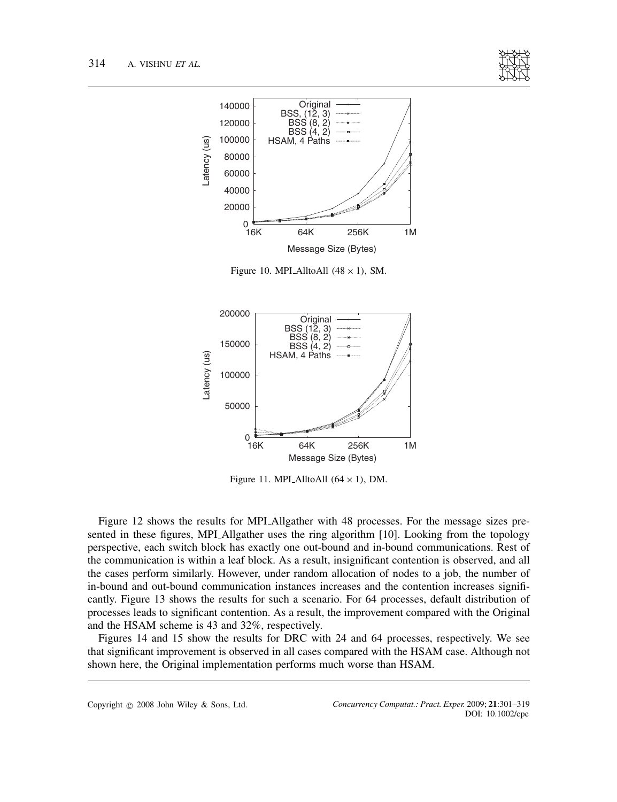



Figure 10. MPI AlltoAll *(*48 × 1*)*, SM.



Figure 11. MPI AlltoAll  $(64 \times 1)$ , DM.

Figure 12 shows the results for MPI\_Allgather with 48 processes. For the message sizes presented in these figures, MPI Allgather uses the ring algorithm [10]. Looking from the topology perspective, each switch block has exactly one out-bound and in-bound communications. Rest of the communication is within a leaf block. As a result, insignificant contention is observed, and all the cases perform similarly. However, under random allocation of nodes to a job, the number of in-bound and out-bound communication instances increases and the contention increases significantly. Figure 13 shows the results for such a scenario. For 64 processes, default distribution of processes leads to significant contention. As a result, the improvement compared with the Original and the HSAM scheme is 43 and 32%, respectively.

Figures 14 and 15 show the results for DRC with 24 and 64 processes, respectively. We see that significant improvement is observed in all cases compared with the HSAM case. Although not shown here, the Original implementation performs much worse than HSAM.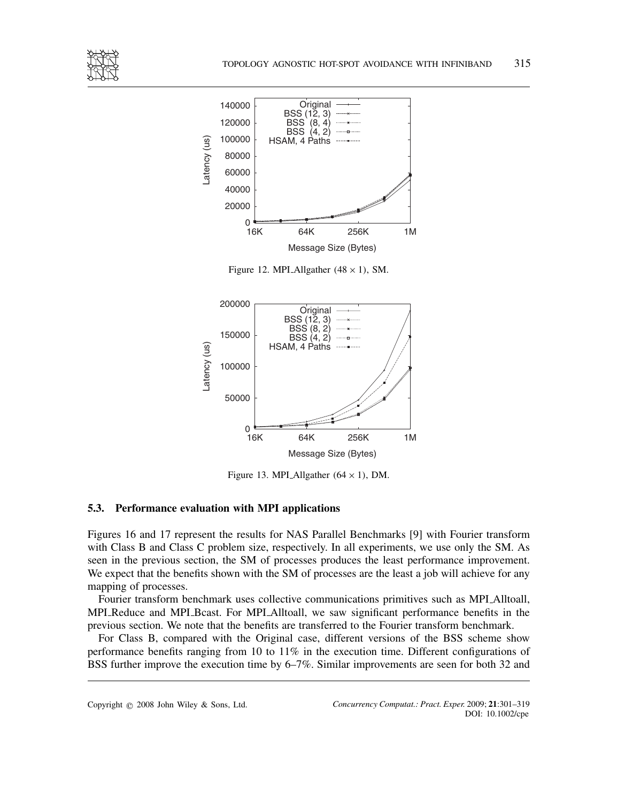



Figure 12. MPI\_Allgather  $(48 \times 1)$ , SM.



Figure 13. MPI Allgather  $(64 \times 1)$ , DM.

## **5.3. Performance evaluation with MPI applications**

Figures 16 and 17 represent the results for NAS Parallel Benchmarks [9] with Fourier transform with Class B and Class C problem size, respectively. In all experiments, we use only the SM. As seen in the previous section, the SM of processes produces the least performance improvement. We expect that the benefits shown with the SM of processes are the least a job will achieve for any mapping of processes.

Fourier transform benchmark uses collective communications primitives such as MPI Alltoall, MPI Reduce and MPI Bcast. For MPI Alltoall, we saw significant performance benefits in the previous section. We note that the benefits are transferred to the Fourier transform benchmark.

For Class B, compared with the Original case, different versions of the BSS scheme show performance benefits ranging from 10 to 11% in the execution time. Different configurations of BSS further improve the execution time by 6–7%. Similar improvements are seen for both 32 and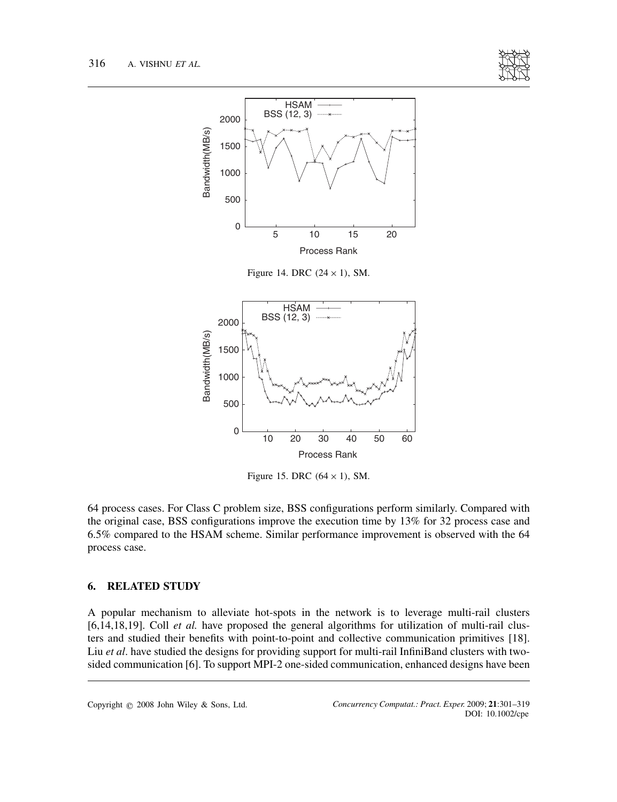



Figure 14. DRC *(*24 × 1*)*, SM.



Figure 15. DRC *(*64 × 1*)*, SM.

64 process cases. For Class C problem size, BSS configurations perform similarly. Compared with the original case, BSS configurations improve the execution time by 13% for 32 process case and 6.5% compared to the HSAM scheme. Similar performance improvement is observed with the 64 process case.

## **6. RELATED STUDY**

A popular mechanism to alleviate hot-spots in the network is to leverage multi-rail clusters [6,14,18,19]. Coll *et al.* have proposed the general algorithms for utilization of multi-rail clusters and studied their benefits with point-to-point and collective communication primitives [18]. Liu *et al*. have studied the designs for providing support for multi-rail InfiniBand clusters with twosided communication [6]. To support MPI-2 one-sided communication, enhanced designs have been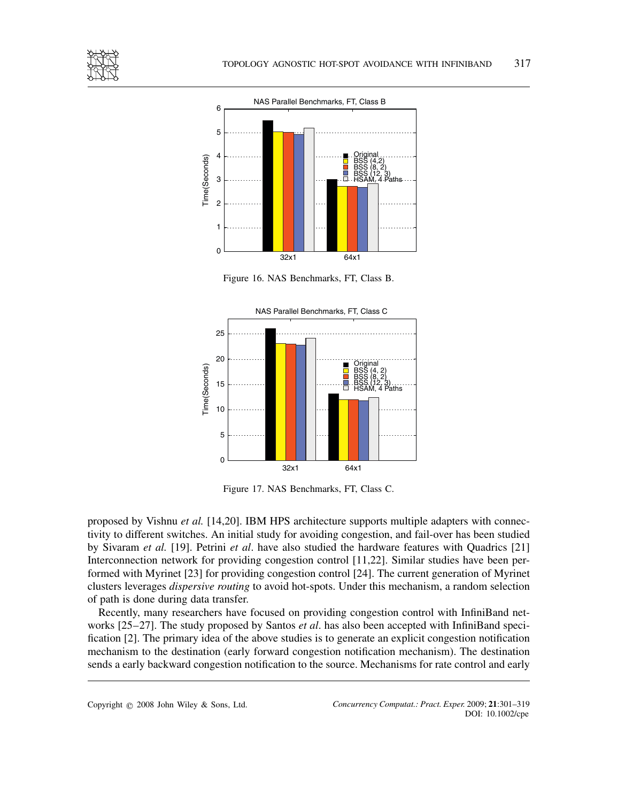



Figure 16. NAS Benchmarks, FT, Class B.



Figure 17. NAS Benchmarks, FT, Class C.

proposed by Vishnu *et al.* [14,20]. IBM HPS architecture supports multiple adapters with connectivity to different switches. An initial study for avoiding congestion, and fail-over has been studied by Sivaram *et al.* [19]. Petrini *et al*. have also studied the hardware features with Quadrics [21] Interconnection network for providing congestion control [11,22]. Similar studies have been performed with Myrinet [23] for providing congestion control [24]. The current generation of Myrinet clusters leverages *dispersive routing* to avoid hot-spots. Under this mechanism, a random selection of path is done during data transfer.

Recently, many researchers have focused on providing congestion control with InfiniBand networks [25–27]. The study proposed by Santos *et al*. has also been accepted with InfiniBand specification [2]. The primary idea of the above studies is to generate an explicit congestion notification mechanism to the destination (early forward congestion notification mechanism). The destination sends a early backward congestion notification to the source. Mechanisms for rate control and early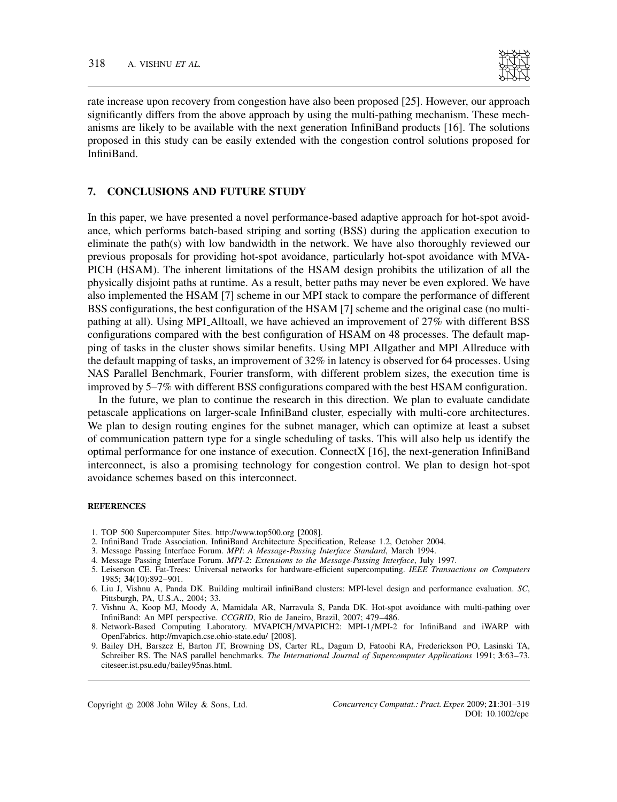

rate increase upon recovery from congestion have also been proposed [25]. However, our approach significantly differs from the above approach by using the multi-pathing mechanism. These mechanisms are likely to be available with the next generation InfiniBand products [16]. The solutions proposed in this study can be easily extended with the congestion control solutions proposed for InfiniBand.

## **7. CONCLUSIONS AND FUTURE STUDY**

In this paper, we have presented a novel performance-based adaptive approach for hot-spot avoidance, which performs batch-based striping and sorting (BSS) during the application execution to eliminate the path(s) with low bandwidth in the network. We have also thoroughly reviewed our previous proposals for providing hot-spot avoidance, particularly hot-spot avoidance with MVA-PICH (HSAM). The inherent limitations of the HSAM design prohibits the utilization of all the physically disjoint paths at runtime. As a result, better paths may never be even explored. We have also implemented the HSAM [7] scheme in our MPI stack to compare the performance of different BSS configurations, the best configuration of the HSAM [7] scheme and the original case (no multipathing at all). Using MPI Alltoall, we have achieved an improvement of 27% with different BSS configurations compared with the best configuration of HSAM on 48 processes. The default mapping of tasks in the cluster shows similar benefits. Using MPI Allgather and MPI Allreduce with the default mapping of tasks, an improvement of 32% in latency is observed for 64 processes. Using NAS Parallel Benchmark, Fourier transform, with different problem sizes, the execution time is improved by 5–7% with different BSS configurations compared with the best HSAM configuration.

In the future, we plan to continue the research in this direction. We plan to evaluate candidate petascale applications on larger-scale InfiniBand cluster, especially with multi-core architectures. We plan to design routing engines for the subnet manager, which can optimize at least a subset of communication pattern type for a single scheduling of tasks. This will also help us identify the optimal performance for one instance of execution. ConnectX [16], the next-generation InfiniBand interconnect, is also a promising technology for congestion control. We plan to design hot-spot avoidance schemes based on this interconnect.

#### **REFERENCES**

- 1. TOP 500 Supercomputer Sites. http://www.top500.org [2008].
- 2. InfiniBand Trade Association. InfiniBand Architecture Specification, Release 1.2, October 2004.
- 3. Message Passing Interface Forum. *MPI*: *A Message-Passing Interface Standard*, March 1994.
- 4. Message Passing Interface Forum. *MPI-2*: *Extensions to the Message-Passing Interface*, July 1997.
- 5. Leiserson CE. Fat-Trees: Universal networks for hardware-efficient supercomputing. *IEEE Transactions on Computers* 1985; **34**(10):892–901.
- 6. Liu J, Vishnu A, Panda DK. Building multirail infiniBand clusters: MPI-level design and performance evaluation. *SC*, Pittsburgh, PA, U.S.A., 2004; 33.
- 7. Vishnu A, Koop MJ, Moody A, Mamidala AR, Narravula S, Panda DK. Hot-spot avoidance with multi-pathing over InfiniBand: An MPI perspective. *CCGRID*, Rio de Janeiro, Brazil, 2007; 479–486.
- 8. Network-Based Computing Laboratory. MVAPICH*/*MVAPICH2: MPI-1*/*MPI-2 for InfiniBand and iWARP with OpenFabrics. http://mvapich.cse.ohio-state.edu/ [2008].
- 9. Bailey DH, Barszcz E, Barton JT, Browning DS, Carter RL, Dagum D, Fatoohi RA, Frederickson PO, Lasinski TA, Schreiber RS. The NAS parallel benchmarks. *The International Journal of Supercomputer Applications* 1991; **3**:63–73. citeseer.ist.psu.edu*/*bailey95nas.html.